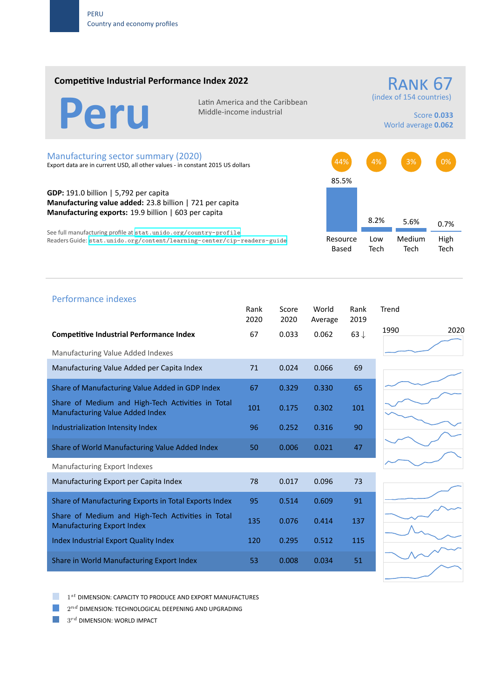### **Competitive Industrial Performance Index 2022**

Latin America and the Caribbean<br>Middle-income industrial

Middle‐income industrial

(index of 154 countries) Score **0.033**

RANK 67

World average **0.062**

#### Manufacturing sector summary (2020)

Export data are in current USD, all other values ‐ in constant 2015 US dollars

**GDP:** 191.0 billion | 5,792 per capita **Manufacturing value added:** 23.8 billion | 721 per capita **Manufacturing exports:** 19.9 billion | 603 per capita

See full manufacturing profile at stat.unido.org/country-profile Readers Guide: stat.unido.org/content/learning-center/cip-readers-guide



# Performance indexes Rank Score World Rank Trend 2020 2020 Average 2019 **Competitive Industrial Performance Index** 67 0.033 0.062 63 *↓* Manufacturing Value Added Indexes Manufacturing Value Added per Capita Index **71** 0.024 0.066 69 Share of Manufacturing Value Added in GDP Index 67 0.329 0.330 65 Share of Medium and High‐Tech Activities in Total Share of Medium and High-Tech Activities in Total 101 0.175 0.302 101 Industrialization Intensity Index 96 0.252 0.316 90 Share of World Manufacturing Value Added Index 50 0.006 0.021 47 Manufacturing Export Indexes Manufacturing Export per Capita Index 78 0.017 0.096 73 Share of Manufacturing Exports in Total Exports Index 95 0.514 0.609 91 Share of Medium and High‐Tech Activities in Total Share of Medium and High-Tech Activities in Total 135 0.076 0.414 137 Index Industrial Export Quality Index 120 0.295 0.512 115 Share in World Manufacturing Export Index 53 0.008 0.034 51

1 *st* DIMENSION: CAPACITY TO PRODUCE AND EXPORT MANUFACTURES

 $2^{nd}$  DIMENSION: TECHNOLOGICAL DEEPENING AND UPGRADING

 $3^{rd}$  DIMENSION: WORLD IMPACT

1990 2020